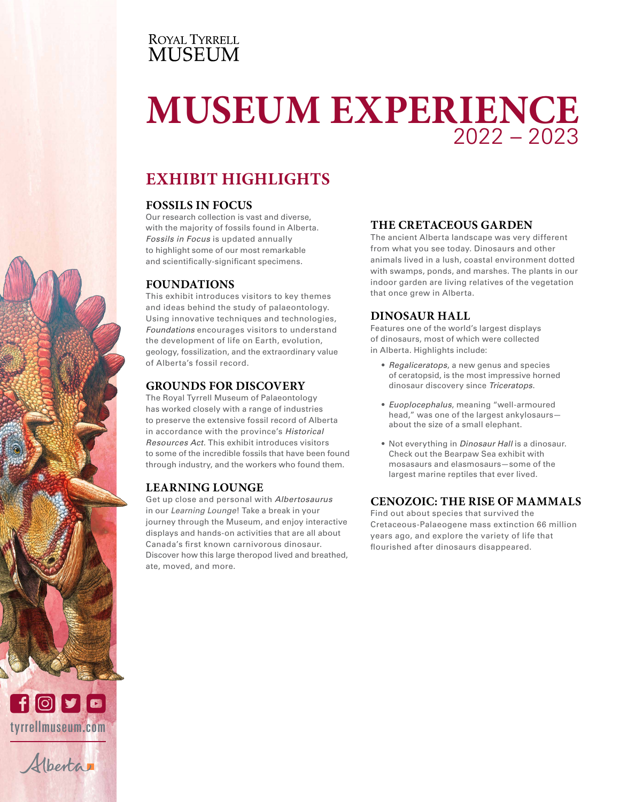### **ROYAL TYRRELL MUSEUM**

### **MUSEUM EXPERIENCE** 2022 – 2023 , U IV  $\sim$   $\sim$

# **EXHIBIT HIGHLIGHTS** MEMBERSHIP

#### **FOSSILS IN FOCUS** & DONATIONS

Our research collection is vast and diverse, with the majority of fossils found in Alberta. *Fossils in Focus* is updated annually to highlight some of our most remarkable and scientifically-significant specimens.

### **FOUNDATIONS**

This exhibit introduces visitors to key themes and ideas behind the study of palaeontology. Using innovative techniques and technologies, *Foundations* encourages visitors to understand the development of life on Earth, evolution, geology, fossilization, and the extraordinary value of Alberta's fossil record.

### **GROUNDS FOR DISCOVERY**

The Royal Tyrrell Museum of Palaeontology has worked closely with a range of industries to preserve the extensive fossil record of Alberta in accordance with the province's *Historical Resources Act*. This exhibit introduces visitors to some of the incredible fossils that have been found through industry, and the workers who found them.

### **LEARNING LOUNGE**

Get up close and personal with *Albertosaurus* in our *Learning Lounge*! Take a break in your journey through the Museum, and enjoy interactive displays and hands-on activities that are all about Canada's first known carnivorous dinosaur. Discover how this large theropod lived and breathed, ate, moved, and more.

### **THE CRETACEOUS GARDEN**

The ancient Alberta landscape was very different from what you see today. Dinosaurs and other animals lived in a lush, coastal environment dotted with swamps, ponds, and marshes. The plants in our indoor garden are living relatives of the vegetation that once grew in Alberta.

### **DINOSAUR HALL**

Features one of the world's largest displays of dinosaurs, most of which were collected in Alberta. Highlights include:

- *Regaliceratops*, a new genus and species of ceratopsid, is the most impressive horned dinosaur discovery since *Triceratops*.
- *Euoplocephalus*, meaning "well-armoured head," was one of the largest ankylosaurs about the size of a small elephant.
- Not everything in *Dinosaur Hall* is a dinosaur. Check out the Bearpaw Sea exhibit with mosasaurs and elasmosaurs—some of the largest marine reptiles that ever lived.

#### **CENOZOIC: THE RISE OF MAMMALS**

Find out about species that survived the Cretaceous-Palaeogene mass extinction 66 million years ago, and explore the variety of life that flourished after dinosaurs disappeared.

berta 1

tyrrellmuseum.com

 $f$   $f$   $f$